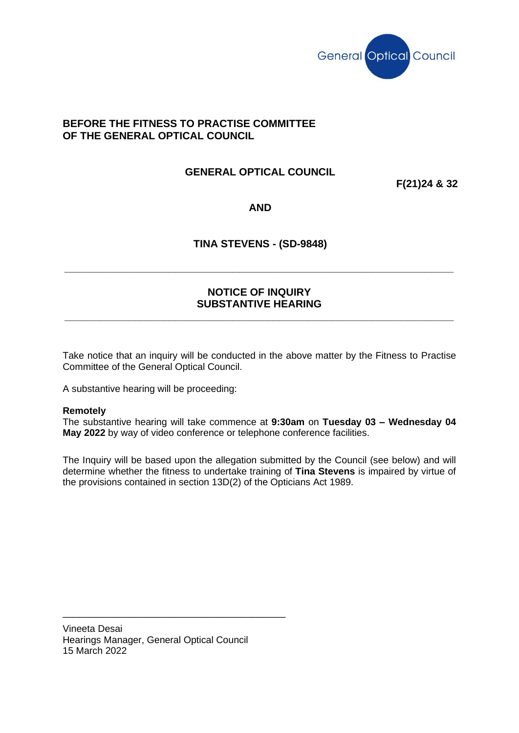

# **BEFORE THE FITNESS TO PRACTISE COMMITTEE OF THE GENERAL OPTICAL COUNCIL**

# **GENERAL OPTICAL COUNCIL**

**F(21)24 & 32**

**AND**

# **TINA STEVENS - (SD-9848)**

## **NOTICE OF INQUIRY SUBSTANTIVE HEARING**

**\_\_\_\_\_\_\_\_\_\_\_\_\_\_\_\_\_\_\_\_\_\_\_\_\_\_\_\_\_\_\_\_\_\_\_\_\_\_\_\_\_\_\_\_\_\_\_\_\_\_\_\_\_\_\_\_\_\_\_\_\_\_\_\_\_\_\_**

**\_\_\_\_\_\_\_\_\_\_\_\_\_\_\_\_\_\_\_\_\_\_\_\_\_\_\_\_\_\_\_\_\_\_\_\_\_\_\_\_\_\_\_\_\_\_\_\_\_\_\_\_\_\_\_\_\_\_\_\_\_\_\_\_\_\_\_**

Take notice that an inquiry will be conducted in the above matter by the Fitness to Practise Committee of the General Optical Council.

A substantive hearing will be proceeding:

#### **Remotely**

The substantive hearing will take commence at **9:30am** on **Tuesday 03 – Wednesday 04 May 2022** by way of video conference or telephone conference facilities.

The Inquiry will be based upon the allegation submitted by the Council (see below) and will determine whether the fitness to undertake training of **Tina Stevens** is impaired by virtue of the provisions contained in section 13D(2) of the Opticians Act 1989.

Vineeta Desai Hearings Manager, General Optical Council 15 March 2022

\_\_\_\_\_\_\_\_\_\_\_\_\_\_\_\_\_\_\_\_\_\_\_\_\_\_\_\_\_\_\_\_\_\_\_\_\_\_\_\_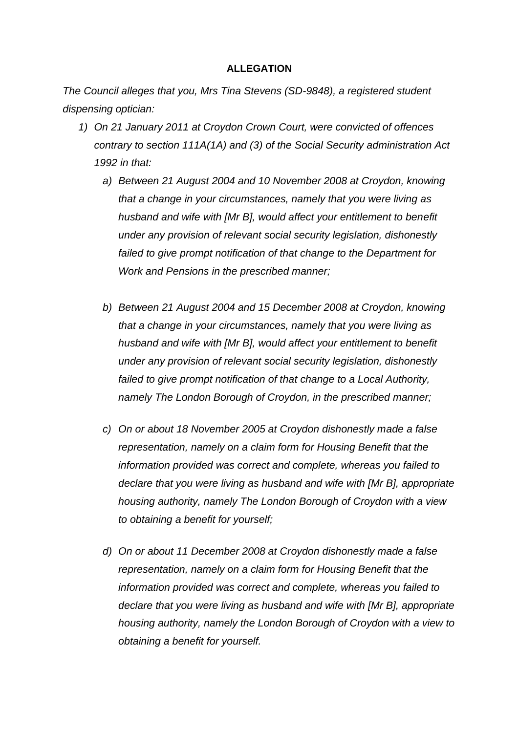### **ALLEGATION**

*The Council alleges that you, Mrs Tina Stevens (SD-9848), a registered student dispensing optician:*

- *1) On 21 January 2011 at Croydon Crown Court, were convicted of offences contrary to section 111A(1A) and (3) of the Social Security administration Act 1992 in that:*
	- *a) Between 21 August 2004 and 10 November 2008 at Croydon, knowing that a change in your circumstances, namely that you were living as husband and wife with [Mr B], would affect your entitlement to benefit under any provision of relevant social security legislation, dishonestly failed to give prompt notification of that change to the Department for Work and Pensions in the prescribed manner;*
	- *b) Between 21 August 2004 and 15 December 2008 at Croydon, knowing that a change in your circumstances, namely that you were living as husband and wife with [Mr B], would affect your entitlement to benefit under any provision of relevant social security legislation, dishonestly failed to give prompt notification of that change to a Local Authority, namely The London Borough of Croydon, in the prescribed manner;*
	- *c) On or about 18 November 2005 at Croydon dishonestly made a false representation, namely on a claim form for Housing Benefit that the information provided was correct and complete, whereas you failed to declare that you were living as husband and wife with [Mr B], appropriate housing authority, namely The London Borough of Croydon with a view to obtaining a benefit for yourself;*
	- *d) On or about 11 December 2008 at Croydon dishonestly made a false representation, namely on a claim form for Housing Benefit that the information provided was correct and complete, whereas you failed to declare that you were living as husband and wife with [Mr B], appropriate housing authority, namely the London Borough of Croydon with a view to obtaining a benefit for yourself.*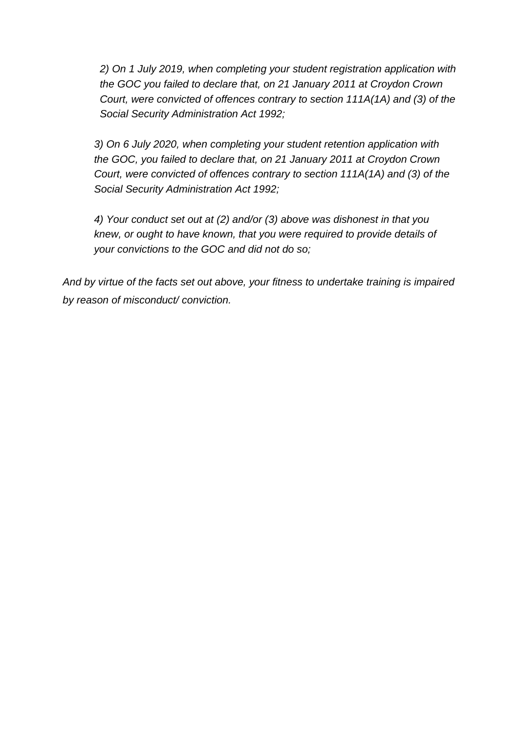*2) On 1 July 2019, when completing your student registration application with the GOC you failed to declare that, on 21 January 2011 at Croydon Crown Court, were convicted of offences contrary to section 111A(1A) and (3) of the Social Security Administration Act 1992;* 

*3) On 6 July 2020, when completing your student retention application with the GOC, you failed to declare that, on 21 January 2011 at Croydon Crown Court, were convicted of offences contrary to section 111A(1A) and (3) of the Social Security Administration Act 1992;* 

*4) Your conduct set out at (2) and/or (3) above was dishonest in that you knew, or ought to have known, that you were required to provide details of your convictions to the GOC and did not do so;* 

*And by virtue of the facts set out above, your fitness to undertake training is impaired by reason of misconduct/ conviction.*